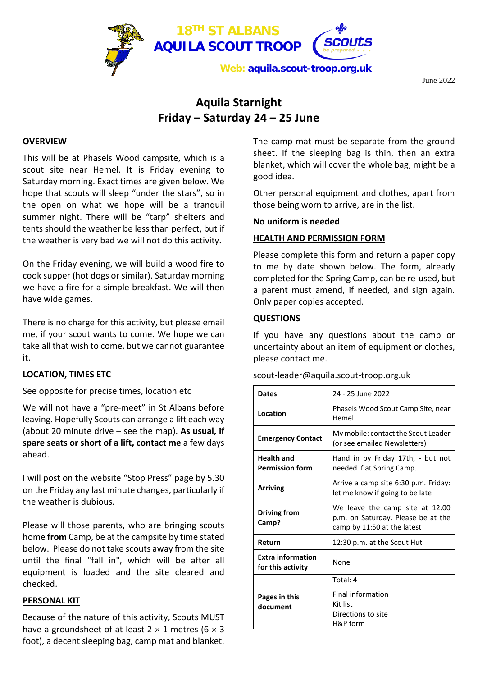

June 2022

## **Aquila Starnight Friday – Saturday 24 – 25 June**

#### **OVERVIEW**

This will be at Phasels Wood campsite, which is a scout site near Hemel. It is Friday evening to Saturday morning. Exact times are given below. We hope that scouts will sleep "under the stars", so in the open on what we hope will be a tranquil summer night. There will be "tarp" shelters and tents should the weather be less than perfect, but if the weather is very bad we will not do this activity.

On the Friday evening, we will build a wood fire to cook supper (hot dogs or similar). Saturday morning we have a fire for a simple breakfast. We will then have wide games.

There is no charge for this activity, but please email me, if your scout wants to come. We hope we can take all that wish to come, but we cannot guarantee it.

### **LOCATION, TIMES ETC**

See opposite for precise times, location etc

We will not have a "pre-meet" in St Albans before leaving. Hopefully Scouts can arrange a lift each way (about 20 minute drive – see the map). **As usual, if spare seats or short of a lift, contact me** a few days ahead.

I will post on the website "Stop Press" page by 5.30 on the Friday any last minute changes, particularly if the weather is dubious.

Please will those parents, who are bringing scouts home **from** Camp, be at the campsite by time stated below. Please do not take scouts away from the site until the final "fall in", which will be after all equipment is loaded and the site cleared and checked.

#### **PERSONAL KIT**

Because of the nature of this activity, Scouts MUST have a groundsheet of at least  $2 \times 1$  metres (6  $\times$  3 foot), a decent sleeping bag, camp mat and blanket. The camp mat must be separate from the ground sheet. If the sleeping bag is thin, then an extra blanket, which will cover the whole bag, might be a good idea.

Other personal equipment and clothes, apart from those being worn to arrive, are in the list.

**No uniform is needed**.

#### **HEALTH AND PERMISSION FORM**

Please complete this form and return a paper copy to me by date shown below. The form, already completed for the Spring Camp, can be re-used, but a parent must amend, if needed, and sign again. Only paper copies accepted.

#### **QUESTIONS**

If you have any questions about the camp or uncertainty about an item of equipment or clothes, please contact me.

| <b>Dates</b>                                  | 24 - 25 June 2022                                                                                    |  |  |
|-----------------------------------------------|------------------------------------------------------------------------------------------------------|--|--|
| Location                                      | Phasels Wood Scout Camp Site, near<br>Hemel                                                          |  |  |
| <b>Emergency Contact</b>                      | My mobile: contact the Scout Leader<br>(or see emailed Newsletters)                                  |  |  |
| <b>Health and</b><br><b>Permission form</b>   | Hand in by Friday 17th, - but not<br>needed if at Spring Camp.                                       |  |  |
| <b>Arriving</b>                               | Arrive a camp site 6:30 p.m. Friday:<br>let me know if going to be late                              |  |  |
| Driving from<br>Camp?                         | We leave the camp site at 12:00<br>p.m. on Saturday. Please be at the<br>camp by 11:50 at the latest |  |  |
| Return                                        | 12:30 p.m. at the Scout Hut                                                                          |  |  |
| <b>Extra information</b><br>for this activity | None                                                                                                 |  |  |
| Pages in this<br>document                     | Total: 4<br><b>Final information</b><br>Kit list<br>Directions to site<br>H&P form                   |  |  |

scout-leader@aquila.scout-troop.org.uk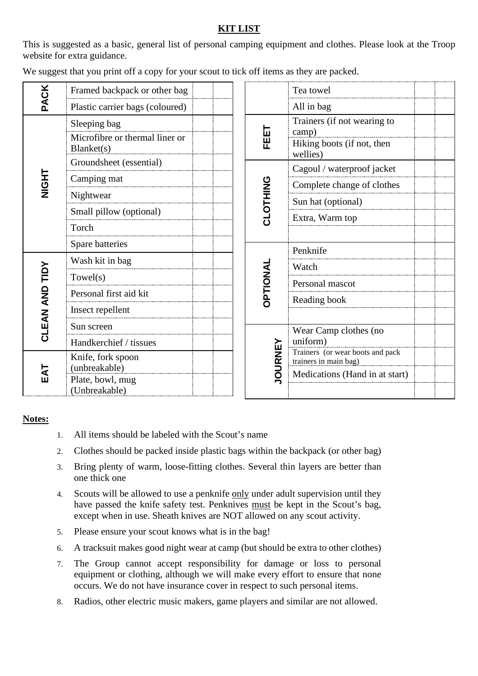## **KIT LIST**

This is suggested as a basic, general list of personal camping equipment and clothes. Please look at the Troop website for extra guidance.

|  |  |  | We suggest that you print off a copy for your scout to tick off items as they are packed. |
|--|--|--|-------------------------------------------------------------------------------------------|
|--|--|--|-------------------------------------------------------------------------------------------|

| <b>PACK</b>    | Framed backpack or other bag                 |  |                | Tea towel                                                 |
|----------------|----------------------------------------------|--|----------------|-----------------------------------------------------------|
|                | Plastic carrier bags (coloured)              |  |                | All in bag                                                |
| ことの            | Sleeping bag                                 |  |                | Trainers (if not wearing to                               |
|                | Microfibre or thermal liner or<br>Blanket(s) |  | EELT           | camp)<br>Hiking boots (if not, then<br>wellies)           |
|                | Groundsheet (essential)                      |  |                | Cagoul / waterproof jacket                                |
|                | Camping mat                                  |  |                | Complete change of clothes                                |
|                | Nightwear                                    |  |                | Sun hat (optional)                                        |
|                | Small pillow (optional)                      |  | CLOTHING       | Extra, Warm top                                           |
|                | Torch                                        |  |                |                                                           |
|                | Spare batteries                              |  |                | Penknife                                                  |
| CLEAN AND TIDY | Wash kit in bag                              |  |                |                                                           |
|                | Towel(s)                                     |  | DPTIONAL       | Watch                                                     |
|                | Personal first aid kit                       |  |                | Personal mascot                                           |
|                |                                              |  |                | Reading book                                              |
|                | Insect repellent                             |  |                |                                                           |
|                | Sun screen                                   |  |                | Wear Camp clothes (no                                     |
|                | Handkerchief / tissues                       |  |                | uniform)                                                  |
|                | Knife, fork spoon                            |  | <b>JOURNEY</b> | Trainers (or wear boots and pack<br>trainers in main bag) |
| EAT            | (unbreakable)                                |  |                | Medications (Hand in at start)                            |
|                | Plate, bowl, mug<br>(Unbreakable)            |  |                |                                                           |

#### **Notes:**

- 1. All items should be labeled with the Scout's name
- 2. Clothes should be packed inside plastic bags within the backpack (or other bag)
- 3. Bring plenty of warm, loose-fitting clothes. Several thin layers are better than one thick one
- 4. Scouts will be allowed to use a penknife only under adult supervision until they have passed the knife safety test. Penknives must be kept in the Scout's bag, except when in use. Sheath knives are NOT allowed on any scout activity.
- 5. Please ensure your scout knows what is in the bag!
- 6. A tracksuit makes good night wear at camp (but should be extra to other clothes)
- 7. The Group cannot accept responsibility for damage or loss to personal equipment or clothing, although we will make every effort to ensure that none occurs. We do not have insurance cover in respect to such personal items.
- 8. Radios, other electric music makers, game players and similar are not allowed.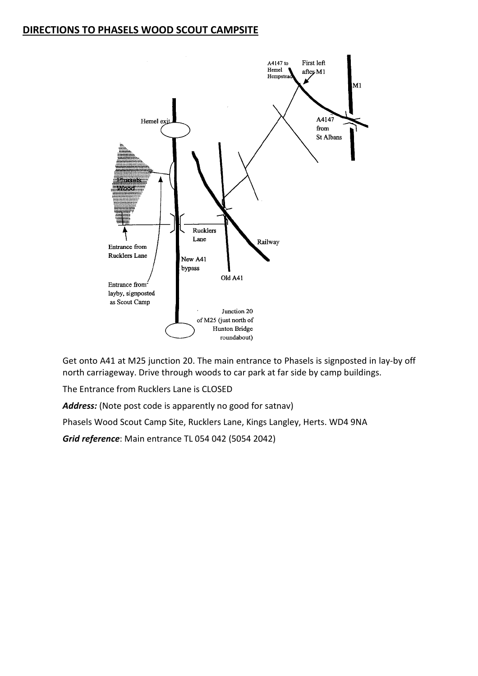## **DIRECTIONS TO PHASELS WOOD SCOUT CAMPSITE**



Get onto A41 at M25 junction 20. The main entrance to Phasels is signposted in lay-by off north carriageway. Drive through woods to car park at far side by camp buildings.

The Entrance from Rucklers Lane is CLOSED

*Address:* (Note post code is apparently no good for satnav)

Phasels Wood Scout Camp Site, Rucklers Lane, Kings Langley, Herts. WD4 9NA

*Grid reference*: Main entrance TL 054 042 (5054 2042)